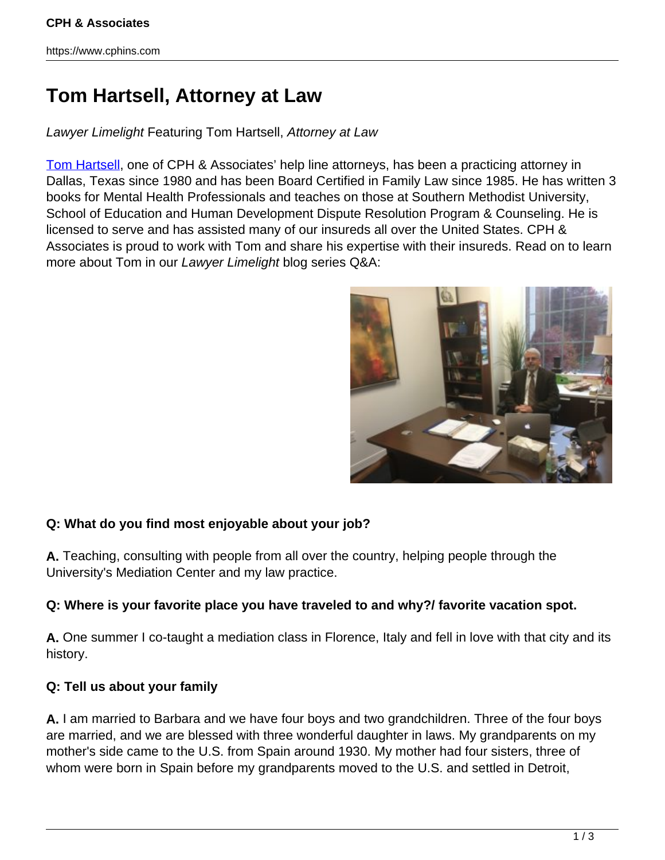# **Tom Hartsell, Attorney at Law**

Lawyer Limelight Featuring Tom Hartsell, Attorney at Law

[Tom Hartsell,](http://www.thomashartsell.com/) one of CPH & Associates' help line attorneys, has been a practicing attorney in Dallas, Texas since 1980 and has been Board Certified in Family Law since 1985. He has written 3 books for Mental Health Professionals and teaches on those at Southern Methodist University, School of Education and Human Development Dispute Resolution Program & Counseling. He is licensed to serve and has assisted many of our insureds all over the United States. CPH & Associates is proud to work with Tom and share his expertise with their insureds. Read on to learn more about Tom in our Lawyer Limelight blog series Q&A:



## **Q: What do you find most enjoyable about your job?**

**A.** Teaching, consulting with people from all over the country, helping people through the University's Mediation Center and my law practice.

## **Q: Where is your favorite place you have traveled to and why?/ favorite vacation spot.**

**A.** One summer I co-taught a mediation class in Florence, Italy and fell in love with that city and its history.

## **Q: Tell us about your family**

**A.** I am married to Barbara and we have four boys and two grandchildren. Three of the four boys are married, and we are blessed with three wonderful daughter in laws. My grandparents on my mother's side came to the U.S. from Spain around 1930. My mother had four sisters, three of whom were born in Spain before my grandparents moved to the U.S. and settled in Detroit,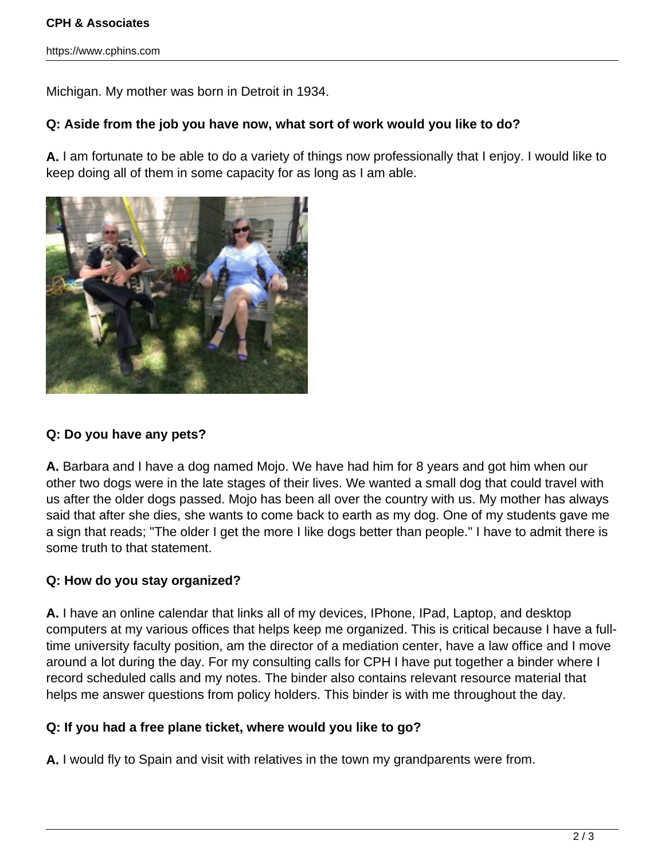#### **CPH & Associates**

https://www.cphins.com

Michigan. My mother was born in Detroit in 1934.

#### **Q: Aside from the job you have now, what sort of work would you like to do?**

**A.** I am fortunate to be able to do a variety of things now professionally that I enjoy. I would like to keep doing all of them in some capacity for as long as I am able.



#### **Q: Do you have any pets?**

**A.** Barbara and I have a dog named Mojo. We have had him for 8 years and got him when our other two dogs were in the late stages of their lives. We wanted a small dog that could travel with us after the older dogs passed. Mojo has been all over the country with us. My mother has always said that after she dies, she wants to come back to earth as my dog. One of my students gave me a sign that reads; "The older I get the more I like dogs better than people." I have to admit there is some truth to that statement.

#### **Q: How do you stay organized?**

**A.** I have an online calendar that links all of my devices, IPhone, IPad, Laptop, and desktop computers at my various offices that helps keep me organized. This is critical because I have a fulltime university faculty position, am the director of a mediation center, have a law office and I move around a lot during the day. For my consulting calls for CPH I have put together a binder where I record scheduled calls and my notes. The binder also contains relevant resource material that helps me answer questions from policy holders. This binder is with me throughout the day.

#### **Q: If you had a free plane ticket, where would you like to go?**

**A.** I would fly to Spain and visit with relatives in the town my grandparents were from.